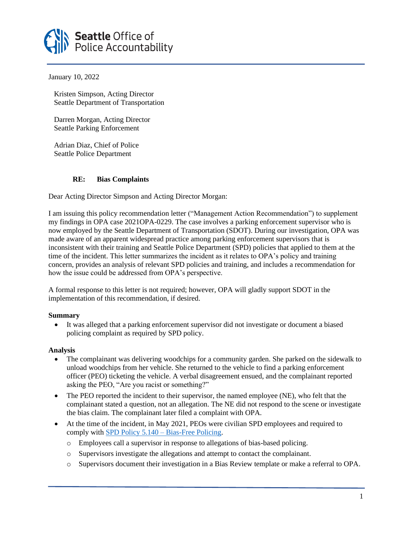

January 10, 2022

 Kristen Simpson, Acting Director Seattle Department of Transportation

 Darren Morgan, Acting Director Seattle Parking Enforcement

 Adrian Diaz, Chief of Police Seattle Police Department

## **RE: Bias Complaints**

Dear Acting Director Simpson and Acting Director Morgan:

I am issuing this policy recommendation letter ("Management Action Recommendation") to supplement my findings in OPA case 2021OPA-0229. The case involves a parking enforcement supervisor who is now employed by the Seattle Department of Transportation (SDOT). During our investigation, OPA was made aware of an apparent widespread practice among parking enforcement supervisors that is inconsistent with their training and Seattle Police Department (SPD) policies that applied to them at the time of the incident. This letter summarizes the incident as it relates to OPA's policy and training concern, provides an analysis of relevant SPD policies and training, and includes a recommendation for how the issue could be addressed from OPA's perspective.

A formal response to this letter is not required; however, OPA will gladly support SDOT in the implementation of this recommendation, if desired.

## **Summary**

• It was alleged that a parking enforcement supervisor did not investigate or document a biased policing complaint as required by SPD policy.

## **Analysis**

- The complainant was delivering woodchips for a community garden. She parked on the sidewalk to unload woodchips from her vehicle. She returned to the vehicle to find a parking enforcement officer (PEO) ticketing the vehicle. A verbal disagreement ensued, and the complainant reported asking the PEO, "Are you racist or something?"
- The PEO reported the incident to their supervisor, the named employee (NE), who felt that the complainant stated a question, not an allegation. The NE did not respond to the scene or investigate the bias claim. The complainant later filed a complaint with OPA.
- At the time of the incident, in May 2021, PEOs were civilian SPD employees and required to comply with [SPD Policy 5.140 –](https://www.seattle.gov/police-manual/title-5---employee-conduct/5140---bias-free-policing) Bias-Free Policing.
	- o Employees call a supervisor in response to allegations of bias-based policing.
	- o Supervisors investigate the allegations and attempt to contact the complainant.
	- o Supervisors document their investigation in a Bias Review template or make a referral to OPA.